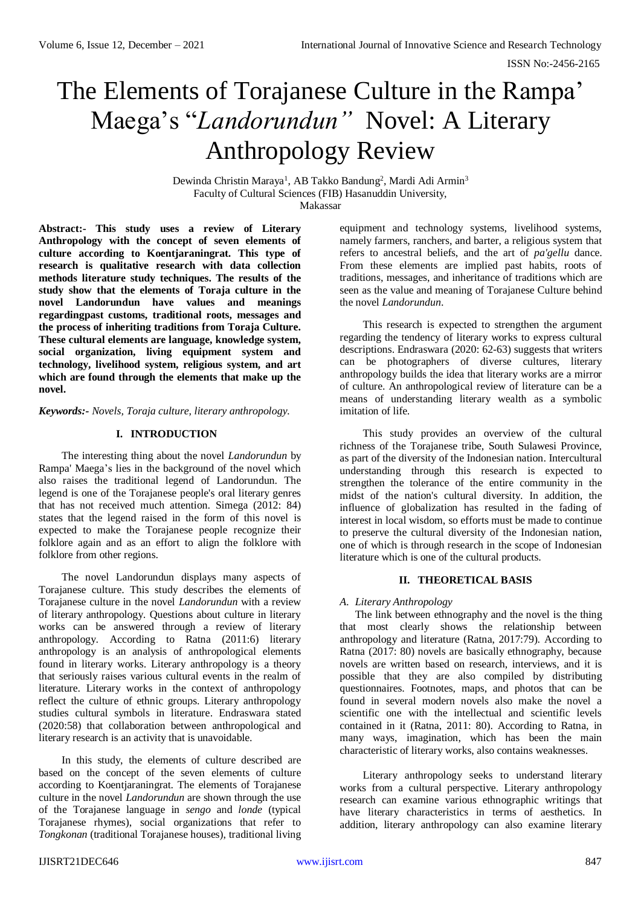# The Elements of Torajanese Culture in the Rampa' Maega's "*Landorundun"* Novel: A Literary Anthropology Review

Dewinda Christin Maraya<sup>1</sup>, AB Takko Bandung<sup>2</sup>, Mardi Adi Armin<sup>3</sup> Faculty of Cultural Sciences (FIB) Hasanuddin University, Makassar

**Abstract:- This study uses a review of Literary Anthropology with the concept of seven elements of culture according to Koentjaraningrat. This type of research is qualitative research with data collection methods literature study techniques. The results of the study show that the elements of Toraja culture in the novel Landorundun have values and meanings regardingpast customs, traditional roots, messages and the process of inheriting traditions from Toraja Culture. These cultural elements are language, knowledge system, social organization, living equipment system and technology, livelihood system, religious system, and art which are found through the elements that make up the novel.**

*Keywords:- Novels, Toraja culture, literary anthropology.*

# **I. INTRODUCTION**

The interesting thing about the novel *Landorundun* by Rampa' Maega's lies in the background of the novel which also raises the traditional legend of Landorundun. The legend is one of the Torajanese people's oral literary genres that has not received much attention. Simega (2012: 84) states that the legend raised in the form of this novel is expected to make the Torajanese people recognize their folklore again and as an effort to align the folklore with folklore from other regions.

The novel Landorundun displays many aspects of Torajanese culture. This study describes the elements of Torajanese culture in the novel *Landorundun* with a review of literary anthropology. Questions about culture in literary works can be answered through a review of literary anthropology. According to Ratna (2011:6) literary anthropology is an analysis of anthropological elements found in literary works. Literary anthropology is a theory that seriously raises various cultural events in the realm of literature. Literary works in the context of anthropology reflect the culture of ethnic groups. Literary anthropology studies cultural symbols in literature. Endraswara stated (2020:58) that collaboration between anthropological and literary research is an activity that is unavoidable.

In this study, the elements of culture described are based on the concept of the seven elements of culture according to Koentjaraningrat. The elements of Torajanese culture in the novel *Landorundun* are shown through the use of the Torajanese language in *sengo* and *londe* (typical Torajanese rhymes), social organizations that refer to *Tongkonan* (traditional Torajanese houses), traditional living equipment and technology systems, livelihood systems, namely farmers, ranchers, and barter, a religious system that refers to ancestral beliefs, and the art of *pa'gellu* dance. From these elements are implied past habits, roots of traditions, messages, and inheritance of traditions which are seen as the value and meaning of Torajanese Culture behind the novel *Landorundun*.

This research is expected to strengthen the argument regarding the tendency of literary works to express cultural descriptions. Endraswara (2020: 62-63) suggests that writers can be photographers of diverse cultures, literary anthropology builds the idea that literary works are a mirror of culture. An anthropological review of literature can be a means of understanding literary wealth as a symbolic imitation of life.

This study provides an overview of the cultural richness of the Torajanese tribe, South Sulawesi Province, as part of the diversity of the Indonesian nation. Intercultural understanding through this research is expected to strengthen the tolerance of the entire community in the midst of the nation's cultural diversity. In addition, the influence of globalization has resulted in the fading of interest in local wisdom, so efforts must be made to continue to preserve the cultural diversity of the Indonesian nation, one of which is through research in the scope of Indonesian literature which is one of the cultural products.

# **II. THEORETICAL BASIS**

## *A. Literary Anthropology*

The link between ethnography and the novel is the thing that most clearly shows the relationship between anthropology and literature (Ratna, 2017:79). According to Ratna (2017: 80) novels are basically ethnography, because novels are written based on research, interviews, and it is possible that they are also compiled by distributing questionnaires. Footnotes, maps, and photos that can be found in several modern novels also make the novel a scientific one with the intellectual and scientific levels contained in it (Ratna, 2011: 80). According to Ratna, in many ways, imagination, which has been the main characteristic of literary works, also contains weaknesses.

Literary anthropology seeks to understand literary works from a cultural perspective. Literary anthropology research can examine various ethnographic writings that have literary characteristics in terms of aesthetics. In addition, literary anthropology can also examine literary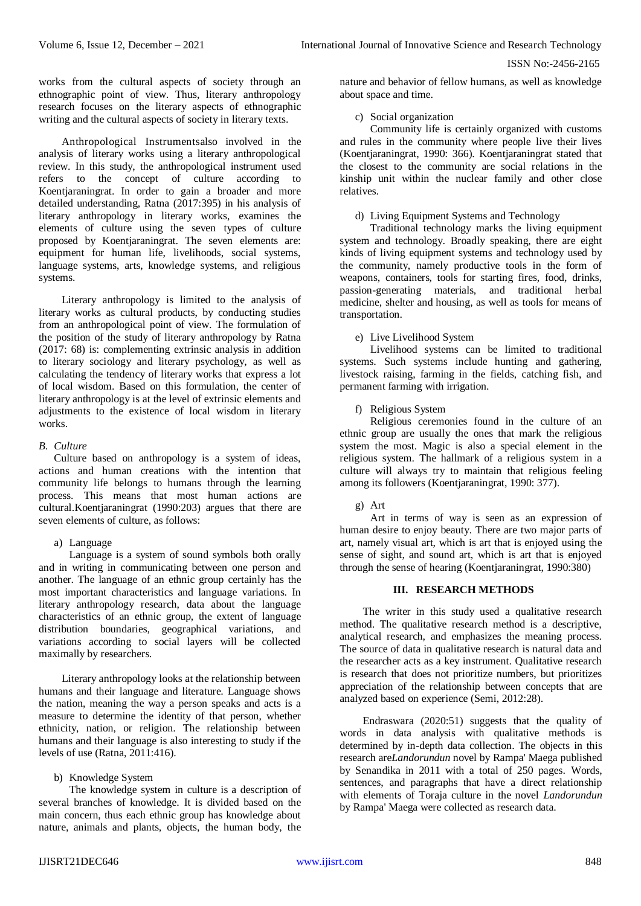works from the cultural aspects of society through an ethnographic point of view. Thus, literary anthropology research focuses on the literary aspects of ethnographic writing and the cultural aspects of society in literary texts.

Anthropological Instrumentsalso involved in the analysis of literary works using a literary anthropological review. In this study, the anthropological instrument used refers to the concept of culture according to Koentjaraningrat. In order to gain a broader and more detailed understanding, Ratna (2017:395) in his analysis of literary anthropology in literary works, examines the elements of culture using the seven types of culture proposed by Koentjaraningrat. The seven elements are: equipment for human life, livelihoods, social systems, language systems, arts, knowledge systems, and religious systems.

Literary anthropology is limited to the analysis of literary works as cultural products, by conducting studies from an anthropological point of view. The formulation of the position of the study of literary anthropology by Ratna (2017: 68) is: complementing extrinsic analysis in addition to literary sociology and literary psychology, as well as calculating the tendency of literary works that express a lot of local wisdom. Based on this formulation, the center of literary anthropology is at the level of extrinsic elements and adjustments to the existence of local wisdom in literary works.

## *B. Culture*

Culture based on anthropology is a system of ideas, actions and human creations with the intention that community life belongs to humans through the learning process. This means that most human actions are cultural.Koentjaraningrat (1990:203) argues that there are seven elements of culture, as follows:

#### a) Language

Language is a system of sound symbols both orally and in writing in communicating between one person and another. The language of an ethnic group certainly has the most important characteristics and language variations. In literary anthropology research, data about the language characteristics of an ethnic group, the extent of language distribution boundaries, geographical variations, and variations according to social layers will be collected maximally by researchers.

Literary anthropology looks at the relationship between humans and their language and literature. Language shows the nation, meaning the way a person speaks and acts is a measure to determine the identity of that person, whether ethnicity, nation, or religion. The relationship between humans and their language is also interesting to study if the levels of use (Ratna, 2011:416).

## b) Knowledge System

The knowledge system in culture is a description of several branches of knowledge. It is divided based on the main concern, thus each ethnic group has knowledge about nature, animals and plants, objects, the human body, the

nature and behavior of fellow humans, as well as knowledge about space and time.

## c) Social organization

Community life is certainly organized with customs and rules in the community where people live their lives (Koentjaraningrat, 1990: 366). Koentjaraningrat stated that the closest to the community are social relations in the kinship unit within the nuclear family and other close relatives.

## d) Living Equipment Systems and Technology

Traditional technology marks the living equipment system and technology. Broadly speaking, there are eight kinds of living equipment systems and technology used by the community, namely productive tools in the form of weapons, containers, tools for starting fires, food, drinks, passion-generating materials, and traditional herbal medicine, shelter and housing, as well as tools for means of transportation.

## e) Live Livelihood System

Livelihood systems can be limited to traditional systems. Such systems include hunting and gathering, livestock raising, farming in the fields, catching fish, and permanent farming with irrigation.

f) Religious System

Religious ceremonies found in the culture of an ethnic group are usually the ones that mark the religious system the most. Magic is also a special element in the religious system. The hallmark of a religious system in a culture will always try to maintain that religious feeling among its followers (Koentjaraningrat, 1990: 377).

g) Art

Art in terms of way is seen as an expression of human desire to enjoy beauty. There are two major parts of art, namely visual art, which is art that is enjoyed using the sense of sight, and sound art, which is art that is enjoyed through the sense of hearing (Koentjaraningrat, 1990:380)

## **III. RESEARCH METHODS**

The writer in this study used a qualitative research method. The qualitative research method is a descriptive, analytical research, and emphasizes the meaning process. The source of data in qualitative research is natural data and the researcher acts as a key instrument. Qualitative research is research that does not prioritize numbers, but prioritizes appreciation of the relationship between concepts that are analyzed based on experience (Semi, 2012:28).

Endraswara (2020:51) suggests that the quality of words in data analysis with qualitative methods is determined by in-depth data collection. The objects in this research are*Landorundun* novel by Rampa' Maega published by Senandika in 2011 with a total of 250 pages. Words, sentences, and paragraphs that have a direct relationship with elements of Toraja culture in the novel *Landorundun* by Rampa' Maega were collected as research data.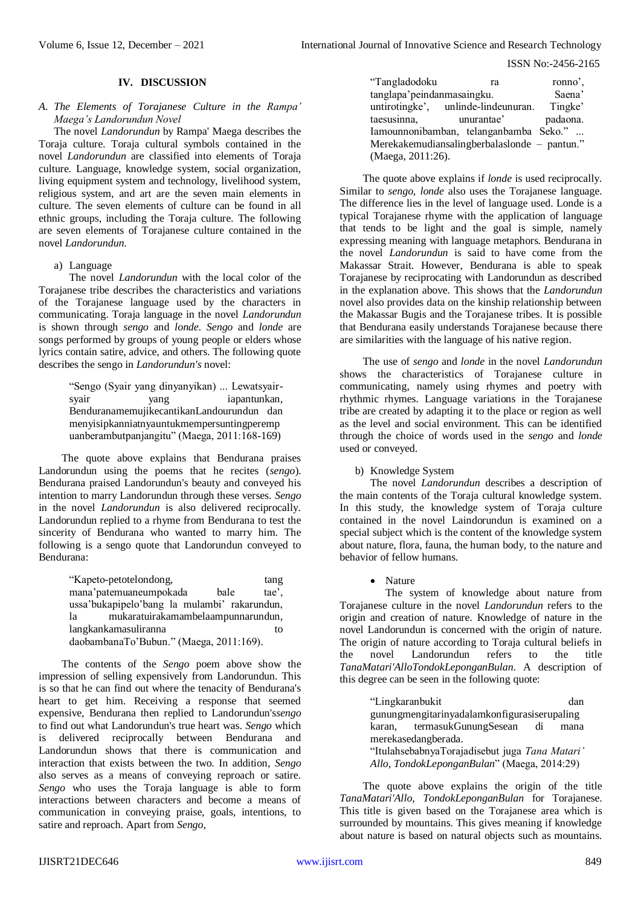## **IV. DISCUSSION**

## *A. The Elements of Torajanese Culture in the Rampa' Maega's Landorundun Novel*

The novel *Landorundun* by Rampa' Maega describes the Toraja culture. Toraja cultural symbols contained in the novel *Landorundun* are classified into elements of Toraja culture. Language, knowledge system, social organization, living equipment system and technology, livelihood system, religious system, and art are the seven main elements in culture. The seven elements of culture can be found in all ethnic groups, including the Toraja culture. The following are seven elements of Torajanese culture contained in the novel *Landorundun*.

## a) Language

The novel *Landorundun* with the local color of the Torajanese tribe describes the characteristics and variations of the Torajanese language used by the characters in communicating. Toraja language in the novel *Landorundun* is shown through *sengo* and *londe*. *Sengo* and *londe* are songs performed by groups of young people or elders whose lyrics contain satire, advice, and others. The following quote describes the sengo in *Landorundun's* novel:

> "Sengo (Syair yang dinyanyikan) ... Lewatsyairsyair vang iapantunkan, BenduranamemujikecantikanLandourundun dan menyisipkanniatnyauntukmempersuntingperemp uanberambutpanjangitu" (Maega, 2011:168-169)

The quote above explains that Bendurana praises Landorundun using the poems that he recites (*sengo*). Bendurana praised Landorundun's beauty and conveyed his intention to marry Landorundun through these verses. *Sengo* in the novel *Landorundun* is also delivered reciprocally. Landorundun replied to a rhyme from Bendurana to test the sincerity of Bendurana who wanted to marry him. The following is a sengo quote that Landorundun conveyed to Bendurana:

| "Kapeto-petotelondong,                       | tang  |
|----------------------------------------------|-------|
| mana'patemuaneumpokada<br>bale               | tae'. |
| ussa'bukapipelo'bang la mulambi' rakarundun, |       |
| mukaratuirakamambelaampunnarundun,<br>la     |       |
| langkankamasuliranna                         | tο    |
| daobambanaTo'Bubun." (Maega, 2011:169).      |       |

The contents of the *Sengo* poem above show the impression of selling expensively from Landorundun. This is so that he can find out where the tenacity of Bendurana's heart to get him. Receiving a response that seemed expensive, Bendurana then replied to Landorundun's*sengo* to find out what Landorundun's true heart was. *Sengo* which is delivered reciprocally between Bendurana and Landorundun shows that there is communication and interaction that exists between the two. In addition, *Sengo* also serves as a means of conveying reproach or satire. *Sengo* who uses the Toraja language is able to form interactions between characters and become a means of communication in conveying praise, goals, intentions, to satire and reproach. Apart from *Sengo*,

| "Tangladodoku                                | ra                                  | ronno'.  |  |  |
|----------------------------------------------|-------------------------------------|----------|--|--|
| tanglapa'peindanmasaingku.                   |                                     | Saena'   |  |  |
|                                              | untirotingke', unlinde-lindeunuran. | Tingke'  |  |  |
| taesusinna,                                  | unurantae'                          | padaona. |  |  |
| Iamounnonibamban, telanganbamba Seko."       |                                     |          |  |  |
| Merekakemudiansalingberbalaslonde – pantun." |                                     |          |  |  |
| (Maega, 2011:26).                            |                                     |          |  |  |

The quote above explains if *londe* is used reciprocally. Similar to *sengo*, *londe* also uses the Torajanese language. The difference lies in the level of language used. Londe is a typical Torajanese rhyme with the application of language that tends to be light and the goal is simple, namely expressing meaning with language metaphors. Bendurana in the novel *Landorundun* is said to have come from the Makassar Strait. However, Bendurana is able to speak Torajanese by reciprocating with Landorundun as described in the explanation above. This shows that the *Landorundun* novel also provides data on the kinship relationship between the Makassar Bugis and the Torajanese tribes. It is possible that Bendurana easily understands Torajanese because there are similarities with the language of his native region.

The use of *sengo* and *londe* in the novel *Landorundun* shows the characteristics of Torajanese culture in communicating, namely using rhymes and poetry with rhythmic rhymes. Language variations in the Torajanese tribe are created by adapting it to the place or region as well as the level and social environment. This can be identified through the choice of words used in the *sengo* and *londe* used or conveyed.

## b) Knowledge System

The novel *Landorundun* describes a description of the main contents of the Toraja cultural knowledge system. In this study, the knowledge system of Toraja culture contained in the novel Laindorundun is examined on a special subject which is the content of the knowledge system about nature, flora, fauna, the human body, to the nature and behavior of fellow humans.

#### • Nature

The system of knowledge about nature from Torajanese culture in the novel *Landorundun* refers to the origin and creation of nature. Knowledge of nature in the novel Landorundun is concerned with the origin of nature. The origin of nature according to Toraja cultural beliefs in the novel Landorundun refers to the title *TanaMatari'AlloTondokLeponganBulan*. A description of this degree can be seen in the following quote:

| "Lingkaranbukit                                | dan        |  |  |
|------------------------------------------------|------------|--|--|
| gunungmengitarinyadalamkonfigurasiserupaling   |            |  |  |
| termasukGunungSesean<br>karan,                 | di<br>mana |  |  |
| merekasedangberada.                            |            |  |  |
| "ItulahsebabnyaTorajadisebut juga Tana Matari" |            |  |  |
| Allo, TondokLeponganBulan" (Maega, 2014:29)    |            |  |  |

The quote above explains the origin of the title *TanaMatari'Allo*, *TondokLeponganBulan* for Torajanese. This title is given based on the Torajanese area which is surrounded by mountains. This gives meaning if knowledge about nature is based on natural objects such as mountains.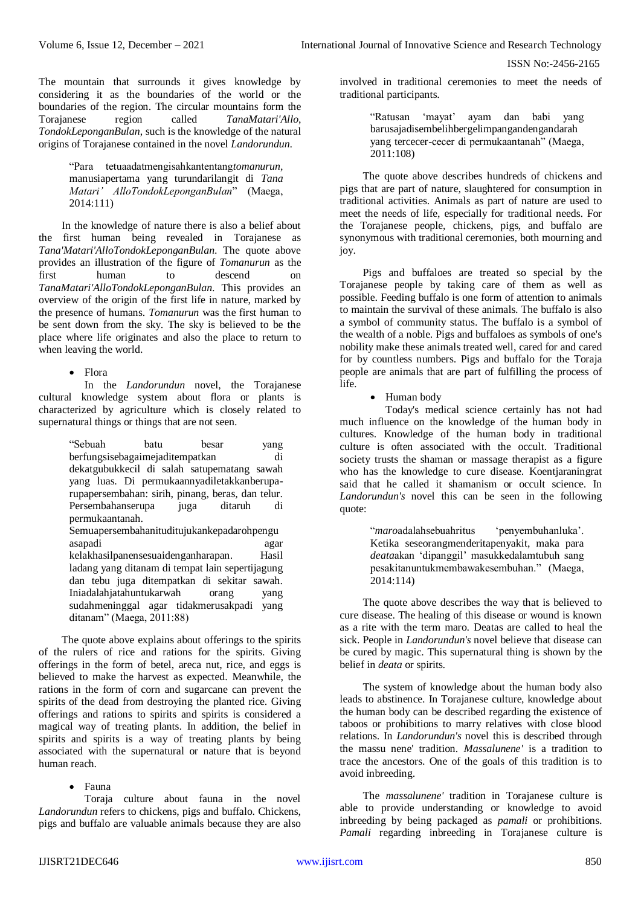The mountain that surrounds it gives knowledge by considering it as the boundaries of the world or the boundaries of the region. The circular mountains form the Torajanese region called *TanaMatari'Allo*, *TondokLeponganBulan*, such is the knowledge of the natural origins of Torajanese contained in the novel *Landorundun*.

> "Para tetuaadatmengisahkantentang*tomanurun,*  manusiapertama yang turundarilangit di *Tana Matari' AlloTondokLeponganBulan*" (Maega, 2014:111)

In the knowledge of nature there is also a belief about the first human being revealed in Torajanese as *Tana'Matari'AlloTondokLeponganBulan*. The quote above provides an illustration of the figure of *Tomanurun* as the first human to descend on *TanaMatari'AlloTondokLeponganBulan*. This provides an overview of the origin of the first life in nature, marked by the presence of humans. *Tomanurun* was the first human to be sent down from the sky. The sky is believed to be the place where life originates and also the place to return to when leaving the world.

• Flora

In the *Landorundun* novel, the Torajanese cultural knowledge system about flora or plants is characterized by agriculture which is closely related to supernatural things or things that are not seen.

> "Sebuah batu besar yang berfungsisebagaimejaditempatkan di dekatgubukkecil di salah satupematang sawah yang luas. Di permukaannyadiletakkanberuparupapersembahan: sirih, pinang, beras, dan telur. Persembahanserupa juga ditaruh di permukaantanah. Semuapersembahanituditujukankepadarohpengu

> asapadi agar kelakhasilpanensesuaidenganharapan. Hasil ladang yang ditanam di tempat lain sepertijagung dan tebu juga ditempatkan di sekitar sawah. Iniadalahjatahuntukarwah orang yang sudahmeninggal agar tidakmerusakpadi yang ditanam" (Maega, 2011:88)

The quote above explains about offerings to the spirits of the rulers of rice and rations for the spirits. Giving offerings in the form of betel, areca nut, rice, and eggs is believed to make the harvest as expected. Meanwhile, the rations in the form of corn and sugarcane can prevent the spirits of the dead from destroying the planted rice. Giving offerings and rations to spirits and spirits is considered a magical way of treating plants. In addition, the belief in spirits and spirits is a way of treating plants by being associated with the supernatural or nature that is beyond human reach.

# Fauna

Toraja culture about fauna in the novel *Landorundun* refers to chickens, pigs and buffalo. Chickens, pigs and buffalo are valuable animals because they are also involved in traditional ceremonies to meet the needs of traditional participants.

> "Ratusan 'mayat' ayam dan babi yang barusajadisembelihbergelimpangandengandarah yang tercecer-cecer di permukaantanah" (Maega, 2011:108)

The quote above describes hundreds of chickens and pigs that are part of nature, slaughtered for consumption in traditional activities. Animals as part of nature are used to meet the needs of life, especially for traditional needs. For the Torajanese people, chickens, pigs, and buffalo are synonymous with traditional ceremonies, both mourning and joy.

Pigs and buffaloes are treated so special by the Torajanese people by taking care of them as well as possible. Feeding buffalo is one form of attention to animals to maintain the survival of these animals. The buffalo is also a symbol of community status. The buffalo is a symbol of the wealth of a noble. Pigs and buffaloes as symbols of one's nobility make these animals treated well, cared for and cared for by countless numbers. Pigs and buffalo for the Toraja people are animals that are part of fulfilling the process of life.

• Human body

Today's medical science certainly has not had much influence on the knowledge of the human body in cultures. Knowledge of the human body in traditional culture is often associated with the occult. Traditional society trusts the shaman or massage therapist as a figure who has the knowledge to cure disease. Koentjaraningrat said that he called it shamanism or occult science. In *Landorundun's* novel this can be seen in the following quote:

> "*maro*adalahsebuahritus 'penyembuhanluka'. Ketika seseorangmenderitapenyakit, maka para *deata*akan 'dipanggil' masukkedalamtubuh sang pesakitanuntukmembawakesembuhan." (Maega, 2014:114)

The quote above describes the way that is believed to cure disease. The healing of this disease or wound is known as a rite with the term maro. Deatas are called to heal the sick. People in *Landorundun's* novel believe that disease can be cured by magic. This supernatural thing is shown by the belief in *deata* or spirits.

The system of knowledge about the human body also leads to abstinence. In Torajanese culture, knowledge about the human body can be described regarding the existence of taboos or prohibitions to marry relatives with close blood relations. In *Landorundun's* novel this is described through the massu nene' tradition. *Massalunene'* is a tradition to trace the ancestors. One of the goals of this tradition is to avoid inbreeding.

The *massalunene'* tradition in Torajanese culture is able to provide understanding or knowledge to avoid inbreeding by being packaged as *pamali* or prohibitions. *Pamali* regarding inbreeding in Torajanese culture is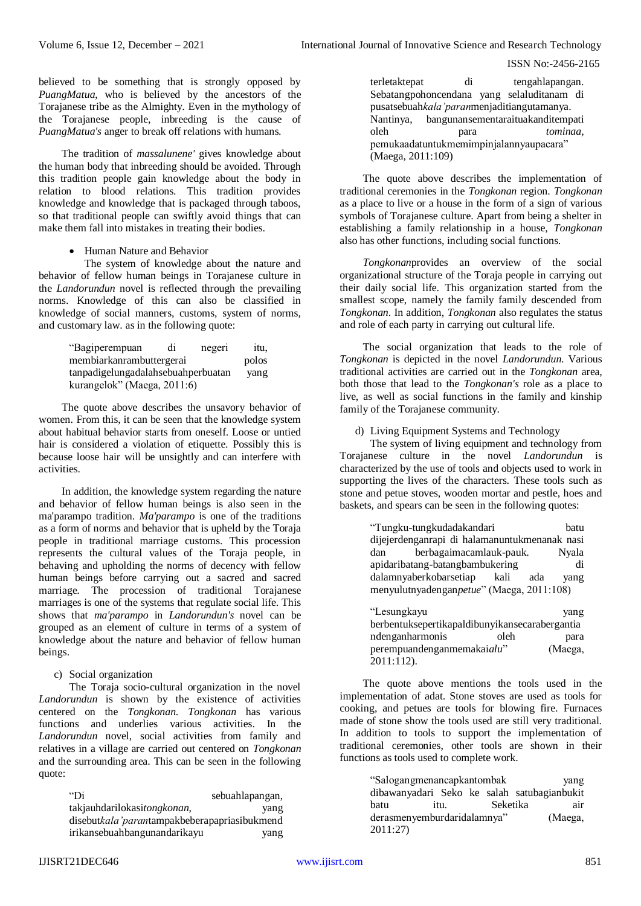believed to be something that is strongly opposed by *PuangMatua*, who is believed by the ancestors of the Torajanese tribe as the Almighty. Even in the mythology of the Torajanese people, inbreeding is the cause of *PuangMatua's* anger to break off relations with humans.

The tradition of *massalunene'* gives knowledge about the human body that inbreeding should be avoided. Through this tradition people gain knowledge about the body in relation to blood relations. This tradition provides knowledge and knowledge that is packaged through taboos, so that traditional people can swiftly avoid things that can make them fall into mistakes in treating their bodies.

Human Nature and Behavior

The system of knowledge about the nature and behavior of fellow human beings in Torajanese culture in the *Landorundun* novel is reflected through the prevailing norms. Knowledge of this can also be classified in knowledge of social manners, customs, system of norms, and customary law. as in the following quote:

| "Bagiperempuan                     | di | negeri | itu,  |
|------------------------------------|----|--------|-------|
| membiarkanrambuttergerai           |    |        | polos |
| tanpadigelungadalahsebuahperbuatan |    |        | yang  |
| kurangelok" (Maega, 2011:6)        |    |        |       |

The quote above describes the unsavory behavior of women. From this, it can be seen that the knowledge system about habitual behavior starts from oneself. Loose or untied hair is considered a violation of etiquette. Possibly this is because loose hair will be unsightly and can interfere with activities.

In addition, the knowledge system regarding the nature and behavior of fellow human beings is also seen in the ma'parampo tradition. *Ma'parampo* is one of the traditions as a form of norms and behavior that is upheld by the Toraja people in traditional marriage customs. This procession represents the cultural values of the Toraja people, in behaving and upholding the norms of decency with fellow human beings before carrying out a sacred and sacred marriage. The procession of traditional Torajanese marriages is one of the systems that regulate social life. This shows that *ma'parampo* in *Landorundun's* novel can be grouped as an element of culture in terms of a system of knowledge about the nature and behavior of fellow human beings.

# c) Social organization

The Toraja socio-cultural organization in the novel *Landorundun* is shown by the existence of activities centered on the *Tongkonan*. *Tongkonan* has various functions and underlies various activities. In the *Landorundun* novel, social activities from family and relatives in a village are carried out centered on *Tongkonan* and the surrounding area. This can be seen in the following quote:

| "Di                                          | sebuahlapangan, |
|----------------------------------------------|-----------------|
| takjauhdarilokasitongkonan,                  | yang            |
| disebutkala'parantampakbeberapapriasibukmend |                 |
| irikansebuahbangunandarikayu                 | yang            |

terletaktepat di tengahlapangan. Sebatangpohoncendana yang selaluditanam di pusatsebuah*kala'paran*menjaditiangutamanya. Nantinya, bangunansementaraituakanditempati oleh para *tominaa,*  pemukaadatuntukmemimpinjalannyaupacara" (Maega, 2011:109)

The quote above describes the implementation of traditional ceremonies in the *Tongkonan* region. *Tongkonan* as a place to live or a house in the form of a sign of various symbols of Torajanese culture. Apart from being a shelter in establishing a family relationship in a house, *Tongkonan* also has other functions, including social functions.

*Tongkonan*provides an overview of the social organizational structure of the Toraja people in carrying out their daily social life. This organization started from the smallest scope, namely the family family descended from *Tongkonan*. In addition, *Tongkonan* also regulates the status and role of each party in carrying out cultural life.

The social organization that leads to the role of *Tongkonan* is depicted in the novel *Landorundun*. Various traditional activities are carried out in the *Tongkonan* area, both those that lead to the *Tongkonan's* role as a place to live, as well as social functions in the family and kinship family of the Torajanese community.

d) Living Equipment Systems and Technology

The system of living equipment and technology from Torajanese culture in the novel *Landorundun* is characterized by the use of tools and objects used to work in supporting the lives of the characters. These tools such as stone and petue stoves, wooden mortar and pestle, hoes and baskets, and spears can be seen in the following quotes:

| "Tungku-tungkudadakandari                      | batu    |  |  |  |
|------------------------------------------------|---------|--|--|--|
| dijejerdenganrapi di halamanuntukmenanak nasi  |         |  |  |  |
| berbagaimacamlauk-pauk.<br>dan                 | Nyala   |  |  |  |
| apidaribatang-batangbambukering                | di      |  |  |  |
| dalamnyaberkobarsetiap kali<br>ada             | yang    |  |  |  |
| menyulutnyadenganpetue" (Maega, 2011:108)      |         |  |  |  |
|                                                |         |  |  |  |
| "Lesungkayu                                    | yang    |  |  |  |
| berbentuksepertikapaldibunyikansecarabergantia |         |  |  |  |
| ndenganharmonis<br>oleh                        | para    |  |  |  |
| perempuandenganmemakaialu"                     | (Maega, |  |  |  |
| 2011:112).                                     |         |  |  |  |

The quote above mentions the tools used in the implementation of adat. Stone stoves are used as tools for cooking, and petues are tools for blowing fire. Furnaces made of stone show the tools used are still very traditional. In addition to tools to support the implementation of traditional ceremonies, other tools are shown in their functions as tools used to complete work.

| "Salogangmenancapkantombak"                 |  |      | yang     |     |
|---------------------------------------------|--|------|----------|-----|
| dibawanyadari Seko ke salah satubagianbukit |  |      |          |     |
| batu                                        |  | itu. | Seketika | air |
| derasmenyemburdaridalamnya"                 |  |      | (Maega,  |     |
| 2011:27                                     |  |      |          |     |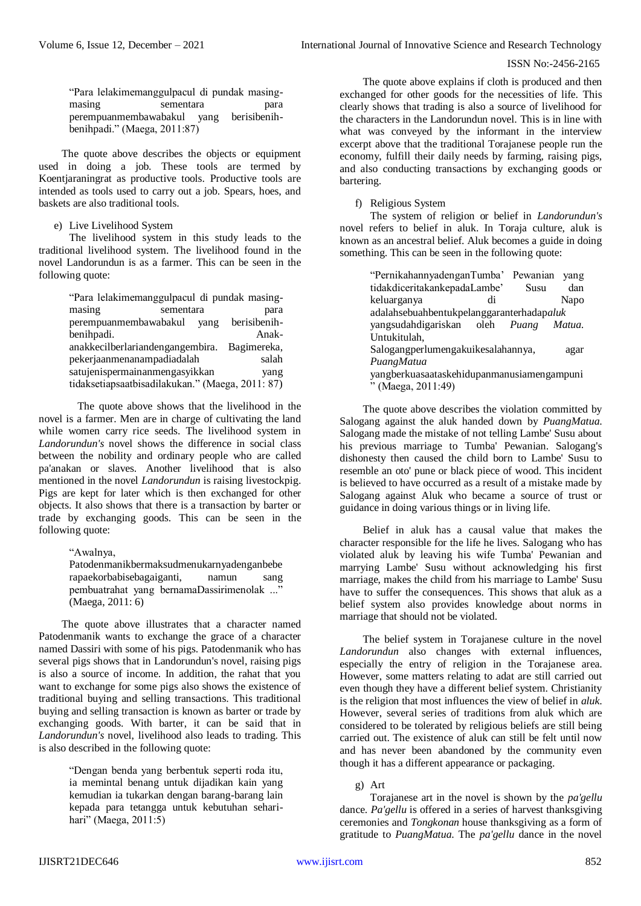"Para lelakimemanggulpacul di pundak masingmasing sementara para perempuanmembawabakul yang berisibenihbenihpadi." (Maega, 2011:87)

The quote above describes the objects or equipment used in doing a job. These tools are termed by Koentjaraningrat as productive tools. Productive tools are intended as tools used to carry out a job. Spears, hoes, and baskets are also traditional tools.

e) Live Livelihood System

The livelihood system in this study leads to the traditional livelihood system. The livelihood found in the novel Landorundun is as a farmer. This can be seen in the following quote:

| "Para lelakimemanggulpacul di pundak masing-     |           |      |              |  |
|--------------------------------------------------|-----------|------|--------------|--|
| masing                                           | sementara |      | para         |  |
| perempuanmembawabakul                            |           | vang | berisibenih- |  |
| benihpadi.                                       |           |      | Anak-        |  |
| anakkecilberlariandengangembira.                 |           |      | Bagimereka,  |  |
| pekerjaanmenanampadiadalah                       |           |      | salah        |  |
| satujenispermainanmengasyikkan                   |           |      | vang         |  |
| tidaksetiapsaatbisadilakukan." (Maega, 2011: 87) |           |      |              |  |

The quote above shows that the livelihood in the novel is a farmer. Men are in charge of cultivating the land while women carry rice seeds. The livelihood system in *Landorundun's* novel shows the difference in social class between the nobility and ordinary people who are called pa'anakan or slaves. Another livelihood that is also mentioned in the novel *Landorundun* is raising livestockpig. Pigs are kept for later which is then exchanged for other objects. It also shows that there is a transaction by barter or trade by exchanging goods. This can be seen in the following quote:

"Awalnya,

Patodenmanikbermaksudmenukarnyadenganbebe rapaekorbabisebagaiganti, namun sang pembuatrahat yang bernamaDassirimenolak ..." (Maega, 2011: 6)

The quote above illustrates that a character named Patodenmanik wants to exchange the grace of a character named Dassiri with some of his pigs. Patodenmanik who has several pigs shows that in Landorundun's novel, raising pigs is also a source of income. In addition, the rahat that you want to exchange for some pigs also shows the existence of traditional buying and selling transactions. This traditional buying and selling transaction is known as barter or trade by exchanging goods. With barter, it can be said that in *Landorundun's* novel, livelihood also leads to trading. This is also described in the following quote:

> "Dengan benda yang berbentuk seperti roda itu, ia memintal benang untuk dijadikan kain yang kemudian ia tukarkan dengan barang-barang lain kepada para tetangga untuk kebutuhan seharihari" (Maega, 2011:5)

The quote above explains if cloth is produced and then exchanged for other goods for the necessities of life. This clearly shows that trading is also a source of livelihood for the characters in the Landorundun novel. This is in line with what was conveyed by the informant in the interview excerpt above that the traditional Torajanese people run the economy, fulfill their daily needs by farming, raising pigs, and also conducting transactions by exchanging goods or bartering.

f) Religious System

The system of religion or belief in *Landorundun's* novel refers to belief in aluk. In Toraja culture, aluk is known as an ancestral belief. Aluk becomes a guide in doing something. This can be seen in the following quote:

> "PernikahannyadenganTumba' Pewanian yang tidakdiceritakankepadaLambe' Susu dan keluarganya di Napo adalahsebuahbentukpelanggaranterhadap*aluk* yangsudahdigariskan oleh *Puang Matua.*  Untukitulah, Salogangperlumengakuikesalahannya, agar *PuangMatua*  yangberkuasaataskehidupanmanusiamengampuni " (Maega, 2011:49)

The quote above describes the violation committed by Salogang against the aluk handed down by *PuangMatua*. Salogang made the mistake of not telling Lambe' Susu about his previous marriage to Tumba' Pewanian. Salogang's dishonesty then caused the child born to Lambe' Susu to resemble an oto' pune or black piece of wood. This incident is believed to have occurred as a result of a mistake made by Salogang against Aluk who became a source of trust or guidance in doing various things or in living life.

Belief in aluk has a causal value that makes the character responsible for the life he lives. Salogang who has violated aluk by leaving his wife Tumba' Pewanian and marrying Lambe' Susu without acknowledging his first marriage, makes the child from his marriage to Lambe' Susu have to suffer the consequences. This shows that aluk as a belief system also provides knowledge about norms in marriage that should not be violated.

The belief system in Torajanese culture in the novel *Landorundun* also changes with external influences, especially the entry of religion in the Torajanese area. However, some matters relating to adat are still carried out even though they have a different belief system. Christianity is the religion that most influences the view of belief in *aluk*. However, several series of traditions from aluk which are considered to be tolerated by religious beliefs are still being carried out. The existence of aluk can still be felt until now and has never been abandoned by the community even though it has a different appearance or packaging.

g) Art

Torajanese art in the novel is shown by the *pa'gellu* dance. *Pa'gellu* is offered in a series of harvest thanksgiving ceremonies and *Tongkonan* house thanksgiving as a form of gratitude to *PuangMatua*. The *pa'gellu* dance in the novel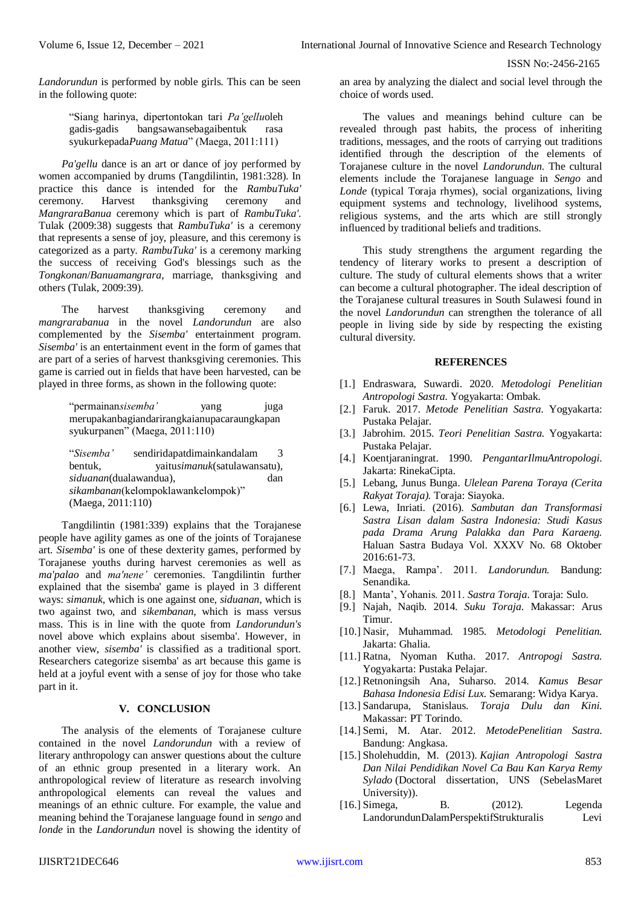*Landorundun* is performed by noble girls. This can be seen in the following quote:

> "Siang harinya, dipertontokan tari *Pa'gellu*oleh gadis-gadis bangsawansebagaibentuk rasa syukurkepada*Puang Matua*" (Maega, 2011:111)

*Pa'gellu* dance is an art or dance of joy performed by women accompanied by drums (Tangdilintin, 1981:328). In practice this dance is intended for the *RambuTuka'* ceremony. Harvest thanksgiving ceremony and *MangraraBanua* ceremony which is part of *RambuTuka'*. Tulak (2009:38) suggests that *RambuTuka'* is a ceremony that represents a sense of joy, pleasure, and this ceremony is categorized as a party. *RambuTuka'* is a ceremony marking the success of receiving God's blessings such as the *Tongkonan*/*Banuamangrara*, marriage, thanksgiving and others (Tulak, 2009:39).

The harvest thanksgiving ceremony and *mangrarabanua* in the novel *Landorundun* are also complemented by the *Sisemba'* entertainment program. *Sisemba'* is an entertainment event in the form of games that are part of a series of harvest thanksgiving ceremonies. This game is carried out in fields that have been harvested, can be played in three forms, as shown in the following quote:

> "permainan*sisemba'* yang juga merupakanbagiandarirangkaianupacaraungkapan syukurpanen" (Maega, 2011:110)

> "*Sisemba'* sendiridapatdimainkandalam 3 bentuk, yaitu*simanuk*(satulawansatu), *siduanan*(dualawandua), dan *sikambanan*(kelompoklawankelompok)" (Maega, 2011:110)

Tangdilintin (1981:339) explains that the Torajanese people have agility games as one of the joints of Torajanese art. *Sisemba'* is one of these dexterity games, performed by Torajanese youths during harvest ceremonies as well as *ma'palao* and *ma'nene'* ceremonies. Tangdilintin further explained that the sisemba' game is played in 3 different ways: *simanuk*, which is one against one, *siduanan*, which is two against two, and *sikembanan*, which is mass versus mass. This is in line with the quote from *Landorundun's* novel above which explains about sisemba'. However, in another view, *sisemba'* is classified as a traditional sport. Researchers categorize sisemba' as art because this game is held at a joyful event with a sense of joy for those who take part in it.

# **V. CONCLUSION**

The analysis of the elements of Torajanese culture contained in the novel *Landorundun* with a review of literary anthropology can answer questions about the culture of an ethnic group presented in a literary work. An anthropological review of literature as research involving anthropological elements can reveal the values and meanings of an ethnic culture. For example, the value and meaning behind the Torajanese language found in *sengo* and *londe* in the *Landorundun* novel is showing the identity of an area by analyzing the dialect and social level through the choice of words used.

The values and meanings behind culture can be revealed through past habits, the process of inheriting traditions, messages, and the roots of carrying out traditions identified through the description of the elements of Torajanese culture in the novel *Landorundun*. The cultural elements include the Torajanese language in *Sengo* and *Londe* (typical Toraja rhymes), social organizations, living equipment systems and technology, livelihood systems, religious systems, and the arts which are still strongly influenced by traditional beliefs and traditions.

This study strengthens the argument regarding the tendency of literary works to present a description of culture. The study of cultural elements shows that a writer can become a cultural photographer. The ideal description of the Torajanese cultural treasures in South Sulawesi found in the novel *Landorundun* can strengthen the tolerance of all people in living side by side by respecting the existing cultural diversity.

## **REFERENCES**

- [1.] Endraswara, Suwardi. 2020. *Metodologi Penelitian Antropologi Sastra.* Yogyakarta: Ombak.
- [2.] Faruk. 2017. *Metode Penelitian Sastra*. Yogyakarta: Pustaka Pelajar.
- [3.] Jabrohim. 2015. *Teori Penelitian Sastra.* Yogyakarta: Pustaka Pelajar.
- [4.] Koentjaraningrat. 1990. *PengantarIlmuAntropologi*. Jakarta: RinekaCipta.
- [5.] Lebang, Junus Bunga. *Ulelean Parena Toraya (Cerita Rakyat Toraja).* Toraja: Siayoka.
- [6.] Lewa, Inriati. (2016). *Sambutan dan Transformasi Sastra Lisan dalam Sastra Indonesia: Studi Kasus pada Drama Arung Palakka dan Para Karaeng.* Haluan Sastra Budaya Vol. XXXV No. 68 Oktober 2016:61-73.
- [7.] Maega, Rampa'. 2011. *Landorundun.* Bandung: Senandika.
- [8.] Manta', Yohanis. 2011. *Sastra Toraja*. Toraja: Sulo.
- [9.] Najah, Naqib. 2014. *Suku Toraja*. Makassar: Arus Timur.
- [10.] Nasir, Muhammad. 1985. *Metodologi Penelitian.*  Jakarta: Ghalia.
- [11.] Ratna, Nyoman Kutha. 2017. *Antropogi Sastra.*  Yogyakarta: Pustaka Pelajar.
- [12.] Retnoningsih Ana, Suharso. 2014. *Kamus Besar Bahasa Indonesia Edisi Lux.* Semarang: Widya Karya.
- [13.] Sandarupa, Stanislaus. *Toraja Dulu dan Kini.*  Makassar: PT Torindo.
- [14.] Semi, M. Atar. 2012. *MetodePenelitian Sastra*. Bandung: Angkasa.
- [15.] Sholehuddin, M. (2013). *Kajian Antropologi Sastra Dan Nilai Pendidikan Novel Ca Bau Kan Karya Remy Sylado* (Doctoral dissertation, UNS (SebelasMaret University)).
- [16.] Simega, B. (2012). Legenda LandorundunDalamPerspektifStrukturalis Levi